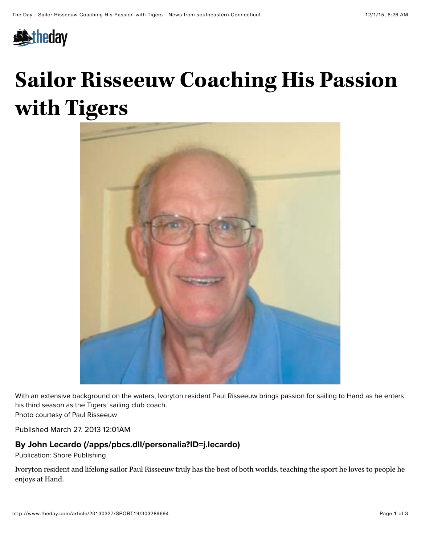

## **Sailor Risseeuw Coaching His Passion with Tigers**



With an extensive background on the waters, Ivoryton resident Paul Risseeuw brings passion for sailing to Hand as he enters his third season as the Tigers' sailing club coach.

Photo courtesy of Paul Risseeuw

Published March 27. 2013 12:01AM

## **By [John Lecardo \(/apps/pbcs.dll/personalia?ID=j.lecardo\)](http://www.theday.com/apps/pbcs.dll/personalia?ID=j.lecardo)**

Publication: Shore Publishing

Ivoryton resident and lifelong sailor Paul Risseeuw truly has the best of both worlds, teaching the sport he loves to people he enjoys at Hand.